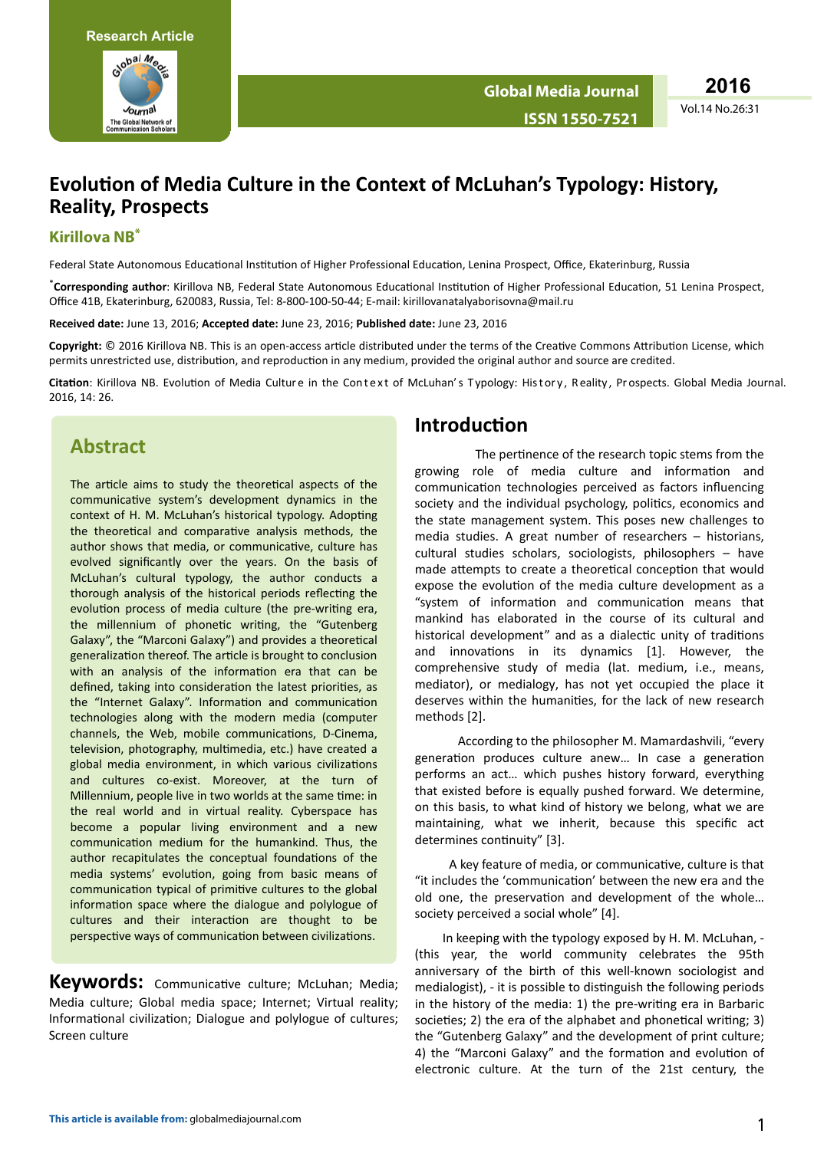

Vol.14 No.26:31 **2016**

# **Evolution of Media Culture in the Context of McLuhan's Typology: History, Reality, Prospects**

### **Kirillova NB\***

Federal State Autonomous Educational Institution of Higher Professional Education, Lenina Prospect, Office, Ekaterinburg, Russia

\*Corresponding author: Kirillova NB, Federal State Autonomous Educational Institution of Higher Professional Education, 51 Lenina Prospect, Office 41B, Ekaterinburg, 620083, Russia, Tel: 8-800-100-50-44; E-mail: [kirillovanatalyaborisovna@mail.ru](mailto:kirillovanatalyaborisovna@mail.ru)

**Received date:** June 13, 2016; **Accepted date:** June 23, 2016; **Published date:** June 23, 2016

Copyright: © 2016 Kirillova NB. This is an open-access article distributed under the terms of the Creative Commons Attribution License, which permits unrestricted use, distribution, and reproduction in any medium, provided the original author and source are credited.

Citation: Kirillova NB. Evolution of Media Culture in the Context of McLuhan's Typology: History, Reality, Prospects. Global Media Journal. 2016, 14: 26.

### **Abstract**

The article aims to study the theoretical aspects of the communicative system's development dynamics in the context of H. M. McLuhan's historical typology. Adopting the theoretical and comparative analysis methods, the author shows that media, or communicative, culture has evolved significantly over the years. On the basis of McLuhan's cultural typology, the author conducts a thorough analysis of the historical periods reflecting the evolution process of media culture (the pre-writing era, the millennium of phonetic writing, the "Gutenberg Galaxy", the "Marconi Galaxy") and provides a theoretical generalization thereof. The article is brought to conclusion with an analysis of the information era that can be defined, taking into consideration the latest priorities, as the "Internet Galaxy". Information and communication technologies along with the modern media (computer channels, the Web, mobile communications, D-Cinema, television, photography, multimedia, etc.) have created a global media environment, in which various civilizations and cultures co-exist. Moreover, at the turn of Millennium, people live in two worlds at the same time: in the real world and in virtual reality. Cyberspace has become a popular living environment and a new communication medium for the humankind. Thus, the author recapitulates the conceptual foundations of the media systems' evolution, going from basic means of communication typical of primitive cultures to the global information space where the dialogue and polylogue of cultures and their interaction are thought to be perspective ways of communication between civilizations.

Keywords: Communicative culture; McLuhan; Media; Media culture; Global media space; Internet; Virtual reality; Informational civilization; Dialogue and polylogue of cultures; Screen culture

### **Introduction**

The pertinence of the research topic stems from the growing role of media culture and information and communication technologies perceived as factors influencing society and the individual psychology, politics, economics and the state management system. This poses new challenges to media studies. A great number of researchers – historians, cultural studies scholars, sociologists, philosophers – have made attempts to create a theoretical conception that would expose the evolution of the media culture development as a "system of information and communication means that mankind has elaborated in the course of its cultural and historical development" and as a dialectic unity of traditions and innovations in its dynamics [1]. However, the comprehensive study of media (lat. medium, i.e., means, mediator), or medialogy, has not yet occupied the place it deserves within the humanities, for the lack of new research methods [2].

According to the philosopher M. Mamardashvili, "every generation produces culture anew... In case a generation performs an act… which pushes history forward, everything that existed before is equally pushed forward. We determine, on this basis, to what kind of history we belong, what we are maintaining, what we inherit, because this specific act determines continuity" [3].

A key feature of media, or communicative, culture is that "it includes the 'communication' between the new era and the old one, the preservation and development of the whole... society perceived a social whole" [4].

In keeping with the typology exposed by H. M. McLuhan, - (this year, the world community celebrates the 95th anniversary of the birth of this well-known sociologist and medialogist), - it is possible to distinguish the following periods in the history of the media: 1) the pre-writing era in Barbaric societies; 2) the era of the alphabet and phonetical writing; 3) the "Gutenberg Galaxy" and the development of print culture; 4) the "Marconi Galaxy" and the formation and evolution of electronic culture. At the turn of the 21st century, the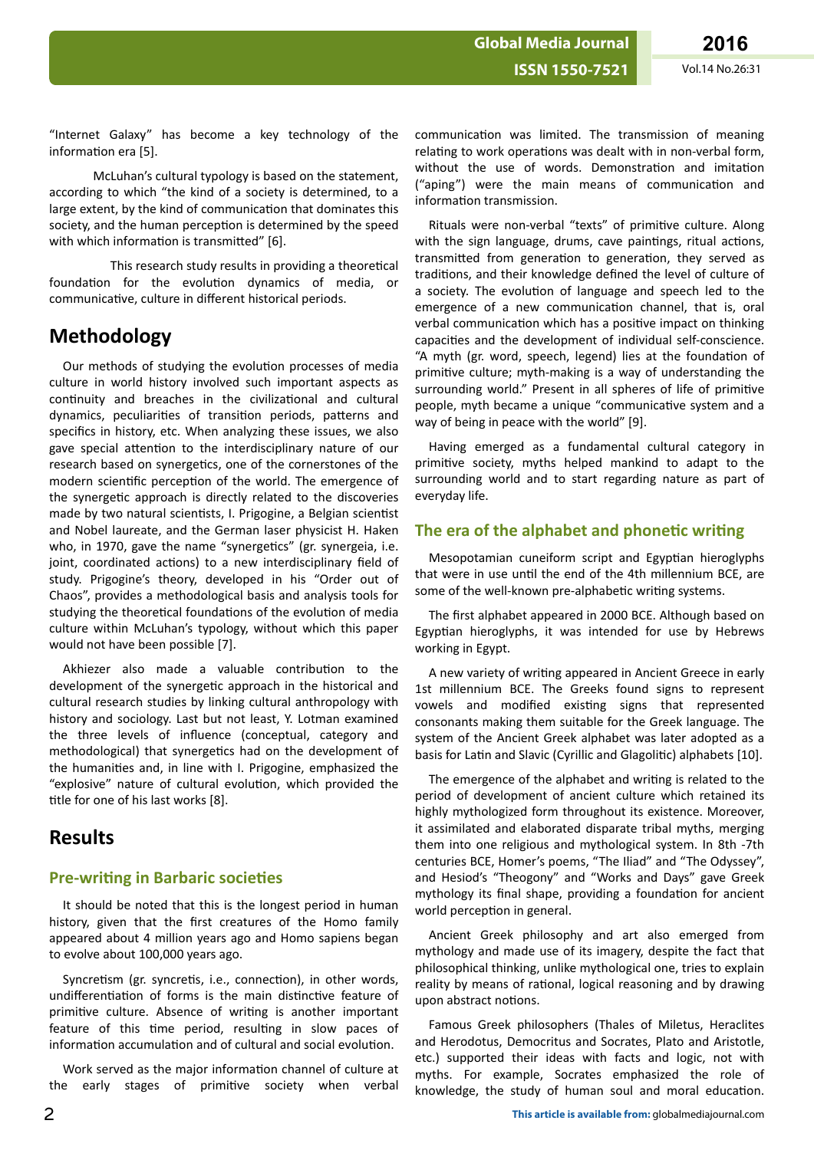#### **ISSN 1550-7521** Vol.14 No.26:31

"Internet Galaxy" has become a key technology of the information era [5].

McLuhan's cultural typology is based on the statement, according to which "the kind of a society is determined, to a large extent, by the kind of communication that dominates this society, and the human perception is determined by the speed with which information is transmitted" [6].

This research study results in providing a theoretical foundation for the evolution dynamics of media, or communicative, culture in different historical periods.

# **Methodology**

Our methods of studying the evolution processes of media culture in world history involved such important aspects as continuity and breaches in the civilizational and cultural dynamics, peculiarities of transition periods, patterns and specifics in history, etc. When analyzing these issues, we also gave special attention to the interdisciplinary nature of our research based on synergetics, one of the cornerstones of the modern scientific perception of the world. The emergence of the synergetic approach is directly related to the discoveries made by two natural scientists, I. Prigogine, a Belgian scientist and Nobel laureate, and the German laser physicist H. Haken who, in 1970, gave the name "synergetics" (gr. synergeia, i.e. joint, coordinated actions) to a new interdisciplinary field of study. Prigogine's theory, developed in his "Order out of Chaos", provides a methodological basis and analysis tools for studying the theoretical foundations of the evolution of media culture within McLuhan's typology, without which this paper would not have been possible [7].

Akhiezer also made a valuable contribution to the development of the synergetic approach in the historical and cultural research studies by linking cultural anthropology with history and sociology. Last but not least, Y. Lotman examined the three levels of influence (conceptual, category and methodological) that synergetics had on the development of the humanities and, in line with I. Prigogine, emphasized the "explosive" nature of cultural evolution, which provided the title for one of his last works [8].

# **Results**

#### **Pre-writing in Barbaric societies**

It should be noted that this is the longest period in human history, given that the first creatures of the Homo family appeared about 4 million years ago and Homo sapiens began to evolve about 100,000 years ago.

Syncretism (gr. syncretis, i.e., connection), in other words, undifferentiation of forms is the main distinctive feature of primitive culture. Absence of writing is another important feature of this time period, resulting in slow paces of information accumulation and of cultural and social evolution.

Work served as the major information channel of culture at the early stages of primitive society when verbal communication was limited. The transmission of meaning relating to work operations was dealt with in non-verbal form, without the use of words. Demonstration and imitation  $("aping")$  were the main means of communication and information transmission.

Rituals were non-verbal "texts" of primitive culture. Along with the sign language, drums, cave paintings, ritual actions, transmitted from generation to generation, they served as traditions, and their knowledge defined the level of culture of a society. The evolution of language and speech led to the emergence of a new communication channel, that is, oral verbal communication which has a positive impact on thinking capacities and the development of individual self-conscience. "A myth (gr. word, speech, legend) lies at the foundation of primitive culture; myth-making is a way of understanding the surrounding world." Present in all spheres of life of primitive people, myth became a unique "communicative system and a way of being in peace with the world" [9].

Having emerged as a fundamental cultural category in primitive society, myths helped mankind to adapt to the surrounding world and to start regarding nature as part of everyday life.

#### **The era of the alphabet and phonetic writing**

Mesopotamian cuneiform script and Egyptian hieroglyphs that were in use until the end of the 4th millennium BCE, are some of the well-known pre-alphabetic writing systems.

The first alphabet appeared in 2000 BCE. Although based on Egyptian hieroglyphs, it was intended for use by Hebrews working in Egypt.

A new variety of writing appeared in Ancient Greece in early 1st millennium BCE. The Greeks found signs to represent vowels and modified existing signs that represented consonants making them suitable for the Greek language. The system of the Ancient Greek alphabet was later adopted as a basis for Latin and Slavic (Cyrillic and Glagolitic) alphabets [10].

The emergence of the alphabet and writing is related to the period of development of ancient culture which retained its highly mythologized form throughout its existence. Moreover, it assimilated and elaborated disparate tribal myths, merging them into one religious and mythological system. In 8th -7th centuries BCE, Homer's poems, "The Iliad" and "The Odyssey", and Hesiod's "Theogony" and "Works and Days" gave Greek mythology its final shape, providing a foundation for ancient world perception in general.

Ancient Greek philosophy and art also emerged from mythology and made use of its imagery, despite the fact that philosophical thinking, unlike mythological one, tries to explain reality by means of rational, logical reasoning and by drawing upon abstract notions.

Famous Greek philosophers (Thales of Miletus, Heraclites and Herodotus, Democritus and Socrates, Plato and Aristotle, etc.) supported their ideas with facts and logic, not with myths. For example, Socrates emphasized the role of knowledge, the study of human soul and moral education.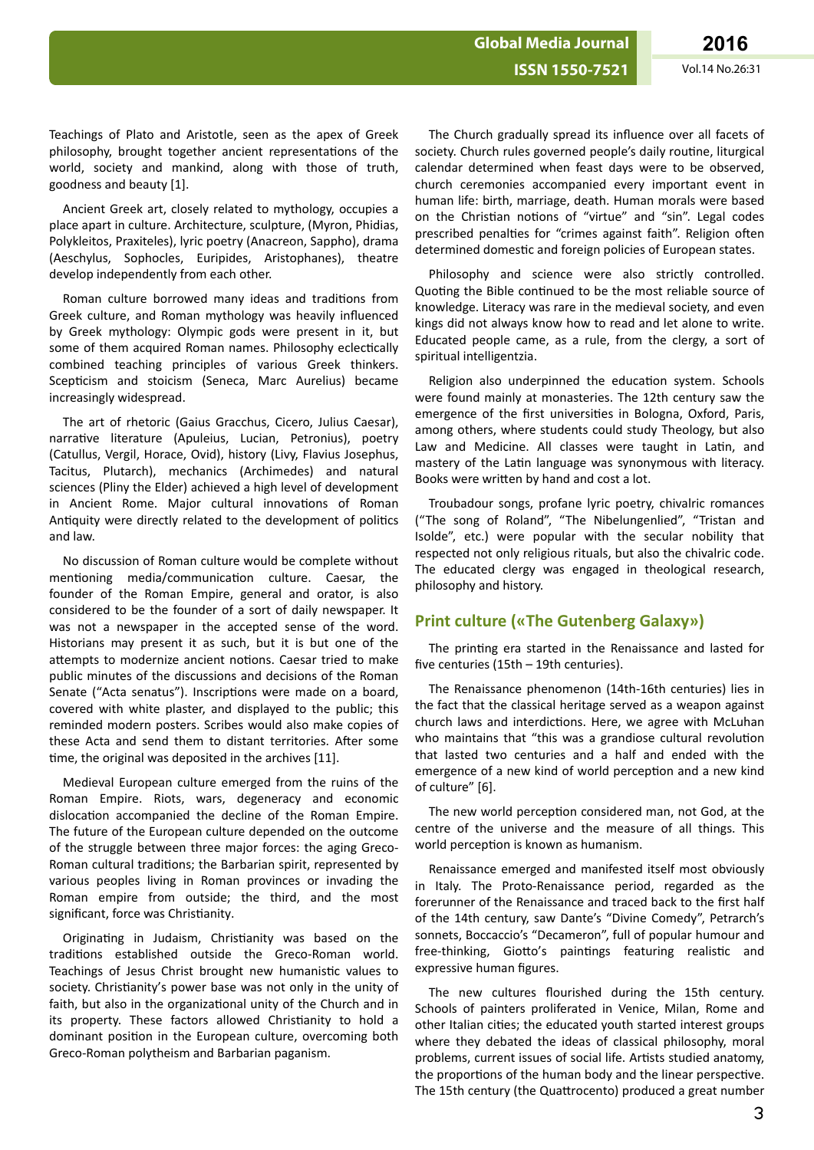Teachings of Plato and Aristotle, seen as the apex of Greek philosophy, brought together ancient representations of the world, society and mankind, along with those of truth, goodness and beauty [1].

Ancient Greek art, closely related to mythology, occupies a place apart in culture. Architecture, sculpture, (Myron, Phidias, Polykleitos, Praxiteles), lyric poetry (Anacreon, Sappho), drama (Aeschylus, Sophocles, Euripides, Aristophanes), theatre develop independently from each other.

Roman culture borrowed many ideas and traditions from Greek culture, and Roman mythology was heavily influenced by Greek mythology: Olympic gods were present in it, but some of them acquired Roman names. Philosophy eclectically combined teaching principles of various Greek thinkers. Scepticism and stoicism (Seneca, Marc Aurelius) became increasingly widespread.

The art of rhetoric (Gaius Gracchus, Cicero, Julius Caesar), narrative literature (Apuleius, Lucian, Petronius), poetry (Catullus, Vergil, Horace, Ovid), history (Livy, Flavius Josephus, Tacitus, Plutarch), mechanics (Archimedes) and natural sciences (Pliny the Elder) achieved a high level of development in Ancient Rome. Major cultural innovations of Roman Antiquity were directly related to the development of politics and law.

No discussion of Roman culture would be complete without mentioning media/communication culture. Caesar, the founder of the Roman Empire, general and orator, is also considered to be the founder of a sort of daily newspaper. It was not a newspaper in the accepted sense of the word. Historians may present it as such, but it is but one of the attempts to modernize ancient notions. Caesar tried to make public minutes of the discussions and decisions of the Roman Senate ("Acta senatus"). Inscriptions were made on a board, covered with white plaster, and displayed to the public; this reminded modern posters. Scribes would also make copies of these Acta and send them to distant territories. After some time, the original was deposited in the archives [11].

Medieval European culture emerged from the ruins of the Roman Empire. Riots, wars, degeneracy and economic dislocation accompanied the decline of the Roman Empire. The future of the European culture depended on the outcome of the struggle between three major forces: the aging Greco-Roman cultural traditions; the Barbarian spirit, represented by various peoples living in Roman provinces or invading the Roman empire from outside; the third, and the most significant, force was Christianity.

Originating in Judaism, Christianity was based on the traditions established outside the Greco-Roman world. Teachings of Jesus Christ brought new humanistic values to society. Christianity's power base was not only in the unity of faith, but also in the organizational unity of the Church and in its property. These factors allowed Christianity to hold a dominant position in the European culture, overcoming both Greco-Roman polytheism and Barbarian paganism.

The Church gradually spread its influence over all facets of society. Church rules governed people's daily routine, liturgical calendar determined when feast days were to be observed, church ceremonies accompanied every important event in human life: birth, marriage, death. Human morals were based on the Christian notions of "virtue" and "sin". Legal codes prescribed penalties for "crimes against faith". Religion often determined domestic and foreign policies of European states.

Philosophy and science were also strictly controlled. Quoting the Bible continued to be the most reliable source of knowledge. Literacy was rare in the medieval society, and even kings did not always know how to read and let alone to write. Educated people came, as a rule, from the clergy, a sort of spiritual intelligentzia.

Religion also underpinned the education system. Schools were found mainly at monasteries. The 12th century saw the emergence of the first universities in Bologna, Oxford, Paris, among others, where students could study Theology, but also Law and Medicine. All classes were taught in Latin, and mastery of the Latin language was synonymous with literacy. Books were written by hand and cost a lot.

Troubadour songs, profane lyric poetry, chivalric romances ("The song of Roland", "The Nibelungenlied", "Tristan and Isolde", etc.) were popular with the secular nobility that respected not only religious rituals, but also the chivalric code. The educated clergy was engaged in theological research, philosophy and history.

#### **Print culture («The Gutenberg Galaxy»)**

The printing era started in the Renaissance and lasted for five centuries (15th – 19th centuries).

The Renaissance phenomenon (14th-16th centuries) lies in the fact that the classical heritage served as a weapon against church laws and interdictions. Here, we agree with McLuhan who maintains that "this was a grandiose cultural revolution that lasted two centuries and a half and ended with the emergence of a new kind of world perception and a new kind of culture" [6].

The new world perception considered man, not God, at the centre of the universe and the measure of all things. This world perception is known as humanism.

Renaissance emerged and manifested itself most obviously in Italy. The Proto-Renaissance period, regarded as the forerunner of the Renaissance and traced back to the first half of the 14th century, saw Dante's "Divine Comedy", Petrarch's sonnets, Boccaccio's "Decameron", full of popular humour and free-thinking, Giotto's paintings featuring realistic and expressive human figures.

The new cultures flourished during the 15th century. Schools of painters proliferated in Venice, Milan, Rome and other Italian cities; the educated youth started interest groups where they debated the ideas of classical philosophy, moral problems, current issues of social life. Artists studied anatomy, the proportions of the human body and the linear perspective. The 15th century (the Quattrocento) produced a great number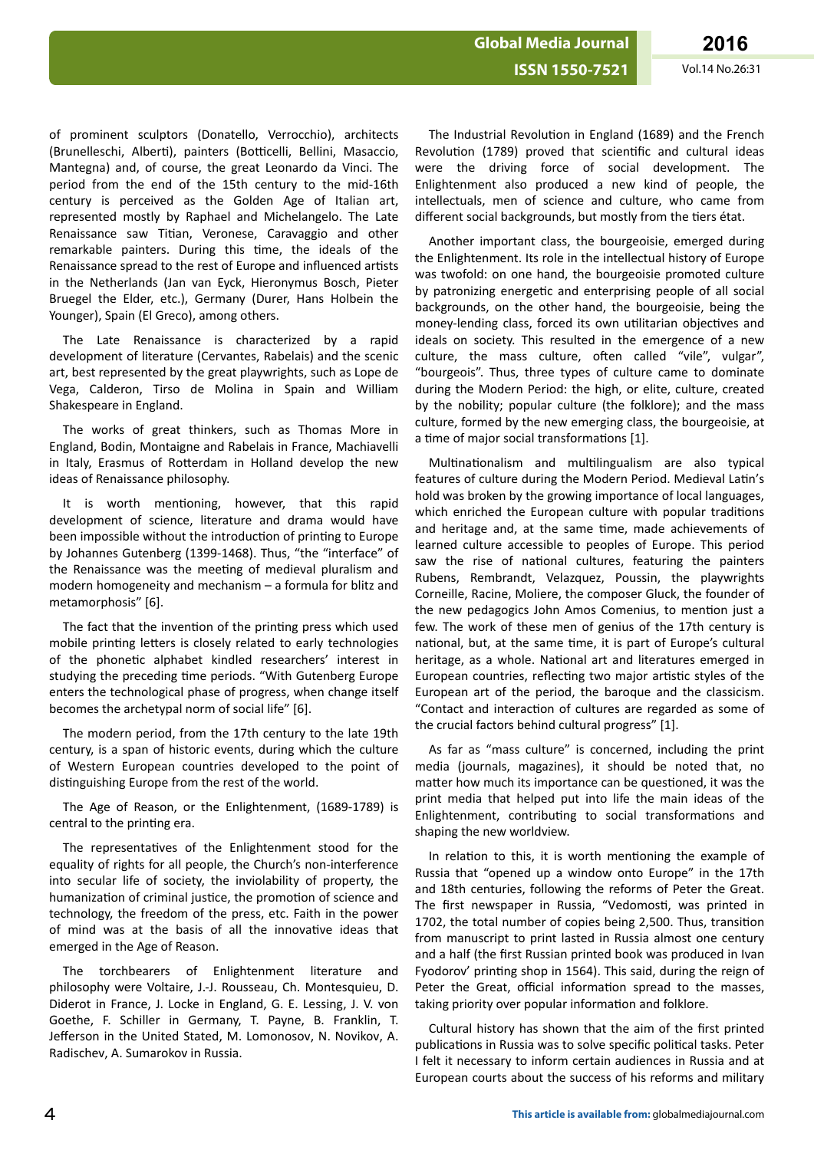**Global Media Journal**

of prominent sculptors (Donatello, Verrocchio), architects (Brunelleschi, Alberti), painters (Botticelli, Bellini, Masaccio, Mantegna) and, of course, the great Leonardo da Vinci. The period from the end of the 15th century to the mid-16th century is perceived as the Golden Age of Italian art, represented mostly by Raphael and Michelangelo. The Late Renaissance saw Titian, Veronese, Caravaggio and other remarkable painters. During this time, the ideals of the Renaissance spread to the rest of Europe and influenced artists in the Netherlands (Jan van Eyck, Hieronymus Bosch, Pieter Bruegel the Elder, etc.), Germany (Durer, Hans Holbein the Younger), Spain (El Greco), among others.

The Late Renaissance is characterized by a rapid development of literature (Cervantes, Rabelais) and the scenic art, best represented by the great playwrights, such as Lope de Vega, Calderon, Tirso de Molina in Spain and William Shakespeare in England.

The works of great thinkers, such as Thomas More in England, Bodin, Montaigne and Rabelais in France, Machiavelli in Italy, Erasmus of Rotterdam in Holland develop the new ideas of Renaissance philosophy.

It is worth mentioning, however, that this rapid development of science, literature and drama would have been impossible without the introduction of printing to Europe by Johannes Gutenberg (1399-1468). Thus, "the "interface" of the Renaissance was the meeting of medieval pluralism and modern homogeneity and mechanism – a formula for blitz and metamorphosis" [6].

The fact that the invention of the printing press which used mobile printing letters is closely related to early technologies of the phonetic alphabet kindled researchers' interest in studying the preceding time periods. "With Gutenberg Europe enters the technological phase of progress, when change itself becomes the archetypal norm of social life" [6].

The modern period, from the 17th century to the late 19th century, is a span of historic events, during which the culture of Western European countries developed to the point of distinguishing Europe from the rest of the world.

The Age of Reason, or the Enlightenment, (1689-1789) is central to the printing era.

The representatives of the Enlightenment stood for the equality of rights for all people, the Church's non-interference into secular life of society, the inviolability of property, the humanization of criminal justice, the promotion of science and technology, the freedom of the press, etc. Faith in the power of mind was at the basis of all the innovative ideas that emerged in the Age of Reason.

The torchbearers of Enlightenment literature and philosophy were Voltaire, J.-J. Rousseau, Ch. Montesquieu, D. Diderot in France, J. Locke in England, G. E. Lessing, J. V. von Goethe, F. Schiller in Germany, T. Payne, B. Franklin, T. Jefferson in the United Stated, M. Lomonosov, N. Novikov, A. Radischev, A. Sumarokov in Russia.

The Industrial Revolution in England (1689) and the French Revolution (1789) proved that scientific and cultural ideas were the driving force of social development. The Enlightenment also produced a new kind of people, the intellectuals, men of science and culture, who came from different social backgrounds, but mostly from the tiers état.

Another important class, the bourgeoisie, emerged during the Enlightenment. Its role in the intellectual history of Europe was twofold: on one hand, the bourgeoisie promoted culture by patronizing energetic and enterprising people of all social backgrounds, on the other hand, the bourgeoisie, being the money-lending class, forced its own utilitarian objectives and ideals on society. This resulted in the emergence of a new culture, the mass culture, often called "vile", vulgar", "bourgeois". Thus, three types of culture came to dominate during the Modern Period: the high, or elite, culture, created by the nobility; popular culture (the folklore); and the mass culture, formed by the new emerging class, the bourgeoisie, at a time of major social transformations [1].

Multinationalism and multilingualism are also typical features of culture during the Modern Period. Medieval Latin's hold was broken by the growing importance of local languages, which enriched the European culture with popular traditions and heritage and, at the same time, made achievements of learned culture accessible to peoples of Europe. This period saw the rise of national cultures, featuring the painters Rubens, Rembrandt, Velazquez, Poussin, the playwrights Corneille, Racine, Moliere, the composer Gluck, the founder of the new pedagogics John Amos Comenius, to mention just a few. The work of these men of genius of the 17th century is national, but, at the same time, it is part of Europe's cultural heritage, as a whole. National art and literatures emerged in European countries, reflecting two major artistic styles of the European art of the period, the baroque and the classicism. "Contact and interaction of cultures are regarded as some of the crucial factors behind cultural progress" [1].

As far as "mass culture" is concerned, including the print media (journals, magazines), it should be noted that, no matter how much its importance can be questioned, it was the print media that helped put into life the main ideas of the Enlightenment, contributing to social transformations and shaping the new worldview.

In relation to this, it is worth mentioning the example of Russia that "opened up a window onto Europe" in the 17th and 18th centuries, following the reforms of Peter the Great. The first newspaper in Russia, "Vedomosti, was printed in 1702, the total number of copies being 2,500. Thus, transition from manuscript to print lasted in Russia almost one century and a half (the first Russian printed book was produced in Ivan Fyodorov' printing shop in 1564). This said, during the reign of Peter the Great, official information spread to the masses, taking priority over popular information and folklore.

Cultural history has shown that the aim of the first printed publications in Russia was to solve specific political tasks. Peter I felt it necessary to inform certain audiences in Russia and at European courts about the success of his reforms and military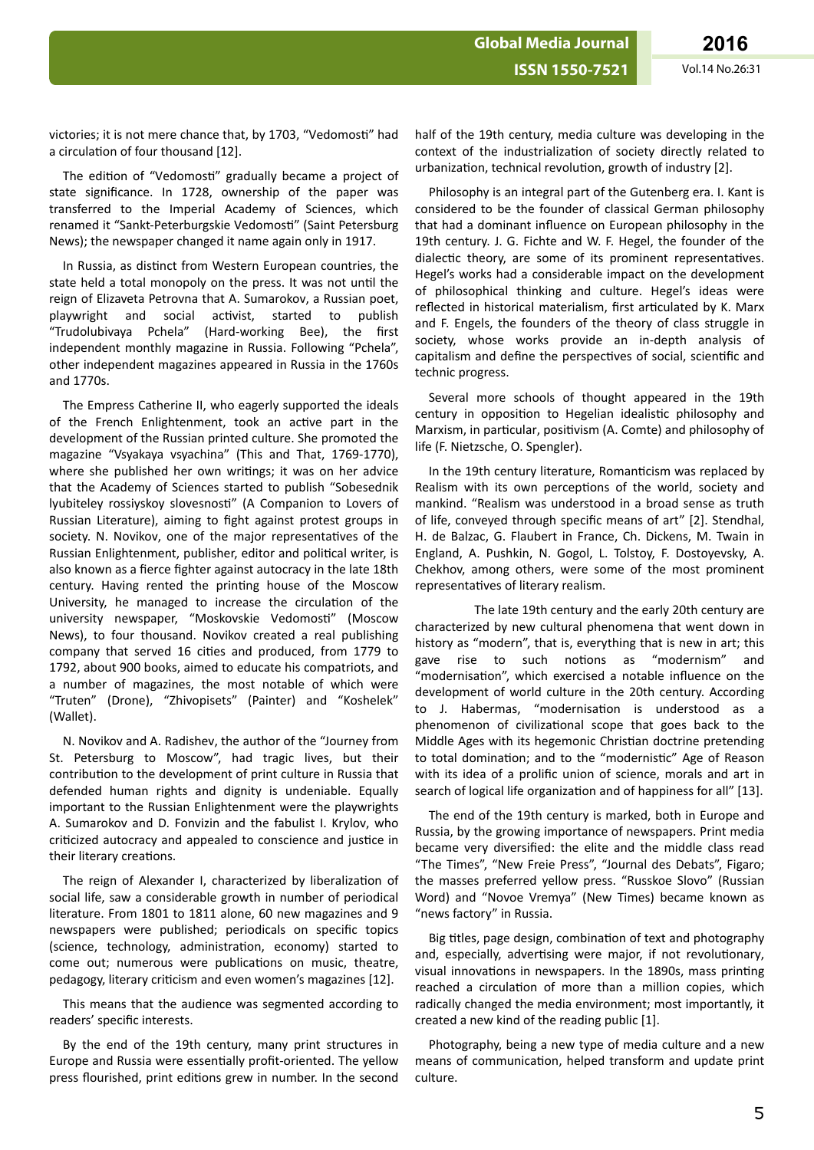victories; it is not mere chance that, by 1703, "Vedomosti" had a circulation of four thousand [12].

The edition of "Vedomosti" gradually became a project of state significance. In 1728, ownership of the paper was transferred to the Imperial Academy of Sciences, which renamed it "Sankt-Peterburgskie Vedomosti" (Saint Petersburg News); the newspaper changed it name again only in 1917.

In Russia, as distinct from Western European countries, the state held a total monopoly on the press. It was not until the reign of Elizaveta Petrovna that A. Sumarokov, a Russian poet, playwright and social activist, started to publish "Trudolubivaya Pchela" (Hard-working Bee), the first independent monthly magazine in Russia. Following "Pchela", other independent magazines appeared in Russia in the 1760s and 1770s.

The Empress Catherine II, who eagerly supported the ideals of the French Enlightenment, took an active part in the development of the Russian printed culture. She promoted the magazine "Vsyakaya vsyachina" (This and That, 1769-1770), where she published her own writings; it was on her advice that the Academy of Sciences started to publish "Sobesednik lyubiteley rossiyskoy slovesnosti" (A Companion to Lovers of Russian Literature), aiming to fight against protest groups in society. N. Novikov, one of the major representatives of the Russian Enlightenment, publisher, editor and political writer, is also known as a fierce fighter against autocracy in the late 18th century. Having rented the printing house of the Moscow University, he managed to increase the circulation of the university newspaper, "Moskovskie Vedomosti" (Moscow News), to four thousand. Novikov created a real publishing company that served 16 cities and produced, from 1779 to 1792, about 900 books, aimed to educate his compatriots, and a number of magazines, the most notable of which were "Truten" (Drone), "Zhivopisets" (Painter) and "Koshelek" (Wallet).

N. Novikov and A. Radishev, the author of the "Journey from St. Petersburg to Moscow", had tragic lives, but their contribution to the development of print culture in Russia that defended human rights and dignity is undeniable. Equally important to the Russian Enlightenment were the playwrights A. Sumarokov and D. Fonvizin and the fabulist I. Krylov, who criticized autocracy and appealed to conscience and justice in their literary creations.

The reign of Alexander I, characterized by liberalization of social life, saw a considerable growth in number of periodical literature. From 1801 to 1811 alone, 60 new magazines and 9 newspapers were published; periodicals on specific topics (science, technology, administration, economy) started to come out; numerous were publications on music, theatre, pedagogy, literary criticism and even women's magazines [12].

This means that the audience was segmented according to readers' specific interests.

By the end of the 19th century, many print structures in Europe and Russia were essentially profit-oriented. The yellow press flourished, print editions grew in number. In the second half of the 19th century, media culture was developing in the context of the industrialization of society directly related to urbanization, technical revolution, growth of industry [2].

Philosophy is an integral part of the Gutenberg era. I. Kant is considered to be the founder of classical German philosophy that had a dominant influence on European philosophy in the 19th century. J. G. Fichte and W. F. Hegel, the founder of the dialectic theory, are some of its prominent representatives. Hegel's works had a considerable impact on the development of philosophical thinking and culture. Hegel's ideas were reflected in historical materialism, first articulated by K. Marx and F. Engels, the founders of the theory of class struggle in society, whose works provide an in-depth analysis of capitalism and define the perspectives of social, scientific and technic progress.

Several more schools of thought appeared in the 19th century in opposition to Hegelian idealistic philosophy and Marxism, in particular, positivism (A. Comte) and philosophy of life (F. Nietzsche, O. Spengler).

In the 19th century literature, Romanticism was replaced by Realism with its own perceptions of the world, society and mankind. "Realism was understood in a broad sense as truth of life, conveyed through specific means of art" [2]. Stendhal, H. de Balzac, G. Flaubert in France, Ch. Dickens, M. Twain in England, A. Pushkin, N. Gogol, L. Tolstoy, F. Dostoyevsky, A. Chekhov, among others, were some of the most prominent representatives of literary realism.

The late 19th century and the early 20th century are characterized by new cultural phenomena that went down in history as "modern", that is, everything that is new in art; this gave rise to such notions as "modernism" and "modernisation", which exercised a notable influence on the development of world culture in the 20th century. According to J. Habermas, "modernisation is understood as a phenomenon of civilizational scope that goes back to the Middle Ages with its hegemonic Christian doctrine pretending to total domination; and to the "modernistic" Age of Reason with its idea of a prolific union of science, morals and art in search of logical life organization and of happiness for all" [13].

The end of the 19th century is marked, both in Europe and Russia, by the growing importance of newspapers. Print media became very diversified: the elite and the middle class read "The Times", "New Freie Press", "Journal des Debats", Figaro; the masses preferred yellow press. "Russkoe Slovo" (Russian Word) and "Novoe Vremya" (New Times) became known as "news factory" in Russia.

Big titles, page design, combination of text and photography and, especially, advertising were major, if not revolutionary, visual innovations in newspapers. In the 1890s, mass printing reached a circulation of more than a million copies, which radically changed the media environment; most importantly, it created a new kind of the reading public [1].

Photography, being a new type of media culture and a new means of communication, helped transform and update print culture.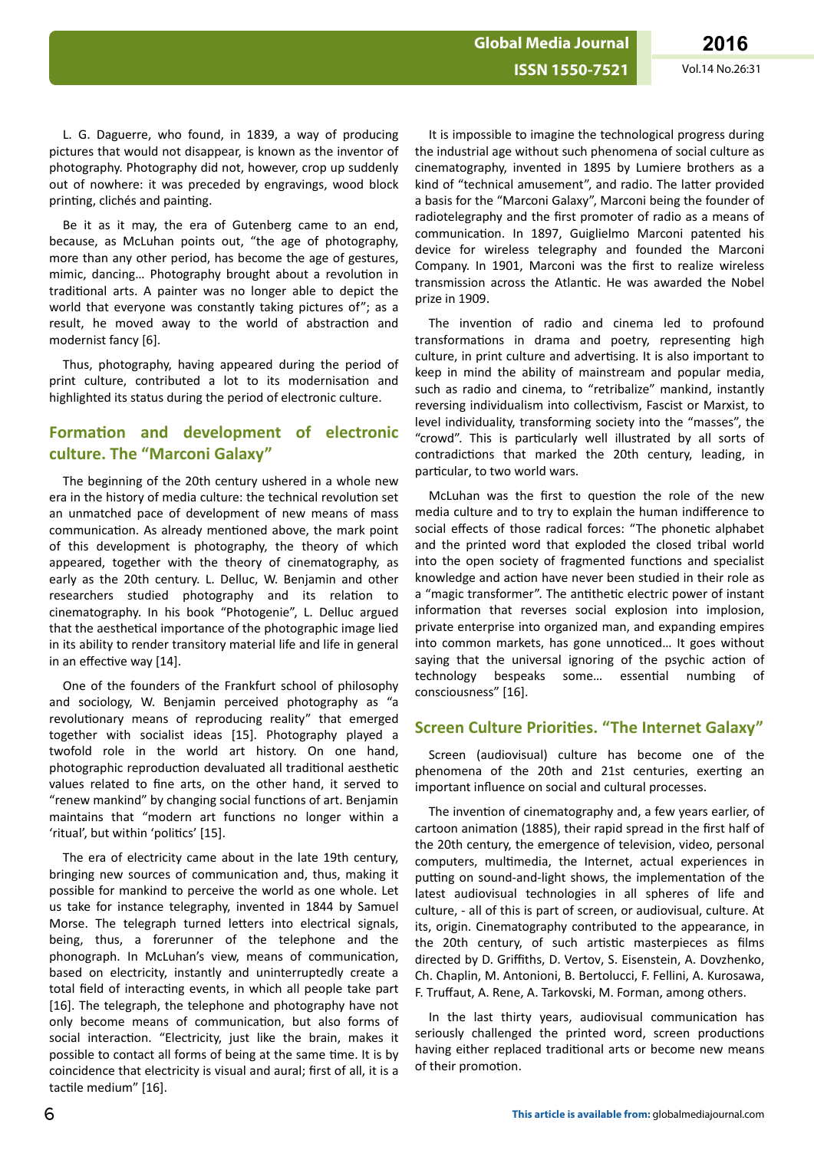L. G. Daguerre, who found, in 1839, a way of producing pictures that would not disappear, is known as the inventor of photography. Photography did not, however, crop up suddenly out of nowhere: it was preceded by engravings, wood block printing, clichés and painting.

Be it as it may, the era of Gutenberg came to an end, because, as McLuhan points out, "the age of photography, more than any other period, has become the age of gestures, mimic, dancing... Photography brought about a revolution in traditional arts. A painter was no longer able to depict the world that everyone was constantly taking pictures of"; as a result, he moved away to the world of abstraction and modernist fancy [6].

Thus, photography, having appeared during the period of print culture, contributed a lot to its modernisation and highlighted its status during the period of electronic culture.

### **Formation and development of electronic culture. The "Marconi Galaxy"**

The beginning of the 20th century ushered in a whole new era in the history of media culture: the technical revolution set an unmatched pace of development of new means of mass communication. As already mentioned above, the mark point of this development is photography, the theory of which appeared, together with the theory of cinematography, as early as the 20th century. L. Delluc, W. Benjamin and other researchers studied photography and its relation to cinematography. In his book "Photogenie", L. Delluc argued that the aesthetical importance of the photographic image lied in its ability to render transitory material life and life in general in an effective way [14].

One of the founders of the Frankfurt school of philosophy and sociology, W. Benjamin perceived photography as "a revolutionary means of reproducing reality" that emerged together with socialist ideas [15]. Photography played a twofold role in the world art history. On one hand, photographic reproduction devaluated all traditional aesthetic values related to fine arts, on the other hand, it served to "renew mankind" by changing social functions of art. Benjamin maintains that "modern art functions no longer within a 'ritual', but within 'politics' [15].

The era of electricity came about in the late 19th century, bringing new sources of communication and, thus, making it possible for mankind to perceive the world as one whole. Let us take for instance telegraphy, invented in 1844 by Samuel Morse. The telegraph turned letters into electrical signals, being, thus, a forerunner of the telephone and the phonograph. In McLuhan's view, means of communication, based on electricity, instantly and uninterruptedly create a total field of interacting events, in which all people take part [16]. The telegraph, the telephone and photography have not only become means of communication, but also forms of social interaction. "Electricity, just like the brain, makes it possible to contact all forms of being at the same time. It is by coincidence that electricity is visual and aural; first of all, it is a tactile medium" [16].

It is impossible to imagine the technological progress during the industrial age without such phenomena of social culture as cinematography, invented in 1895 by Lumiere brothers as a kind of "technical amusement", and radio. The latter provided a basis for the "Marconi Galaxy", Marconi being the founder of radiotelegraphy and the first promoter of radio as a means of communication. In 1897, Guiglielmo Marconi patented his device for wireless telegraphy and founded the Marconi Company. In 1901, Marconi was the first to realize wireless transmission across the Atlantic. He was awarded the Nobel prize in 1909.

The invention of radio and cinema led to profound transformations in drama and poetry, representing high culture, in print culture and advertising. It is also important to keep in mind the ability of mainstream and popular media, such as radio and cinema, to "retribalize" mankind, instantly reversing individualism into collectivism, Fascist or Marxist, to level individuality, transforming society into the "masses", the "crowd". This is particularly well illustrated by all sorts of contradictions that marked the 20th century, leading, in particular, to two world wars.

McLuhan was the first to question the role of the new media culture and to try to explain the human indifference to social effects of those radical forces: "The phonetic alphabet and the printed word that exploded the closed tribal world into the open society of fragmented functions and specialist knowledge and action have never been studied in their role as a "magic transformer". The antithetic electric power of instant information that reverses social explosion into implosion, private enterprise into organized man, and expanding empires into common markets, has gone unnoticed... It goes without saying that the universal ignoring of the psychic action of technology bespeaks some... essential numbing of consciousness" [16].

### **Screen Culture Priorities. "The Internet Galaxy"**

Screen (audiovisual) culture has become one of the phenomena of the 20th and 21st centuries, exerting an important influence on social and cultural processes.

The invention of cinematography and, a few years earlier, of cartoon animation (1885), their rapid spread in the first half of the 20th century, the emergence of television, video, personal computers, multimedia, the Internet, actual experiences in putting on sound-and-light shows, the implementation of the latest audiovisual technologies in all spheres of life and culture, - all of this is part of screen, or audiovisual, culture. At its, origin. Cinematography contributed to the appearance, in the 20th century, of such artistic masterpieces as films directed by D. Griffiths, D. Vertov, S. Eisenstein, A. Dovzhenko, Ch. Chaplin, M. Antonioni, B. Bertolucci, F. Fellini, A. Kurosawa, F. Truffaut, A. Rene, A. Tarkovski, M. Forman, among others.

In the last thirty years, audiovisual communication has seriously challenged the printed word, screen productions having either replaced traditional arts or become new means of their promotion.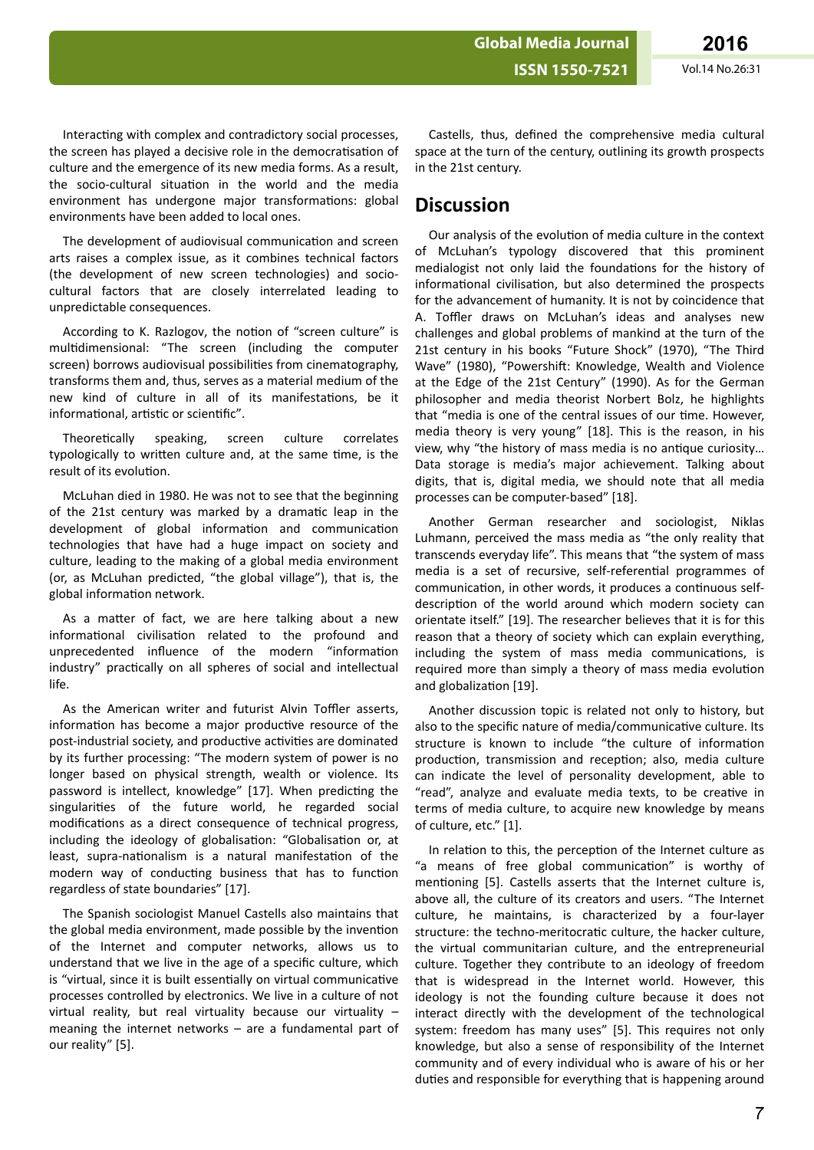**Global Media Journal**

Interacting with complex and contradictory social processes, the screen has played a decisive role in the democratisation of culture and the emergence of its new media forms. As a result, the socio-cultural situation in the world and the media environment has undergone major transformations: global environments have been added to local ones.

The development of audiovisual communication and screen arts raises a complex issue, as it combines technical factors (the development of new screen technologies) and sociocultural factors that are closely interrelated leading to unpredictable consequences.

According to K. Razlogov, the notion of "screen culture" is multidimensional: "The screen (including the computer screen) borrows audiovisual possibilities from cinematography, transforms them and, thus, serves as a material medium of the new kind of culture in all of its manifestations, be it informational, artistic or scientific".

Theoretically speaking, screen culture correlates typologically to written culture and, at the same time, is the result of its evolution.

McLuhan died in 1980. He was not to see that the beginning of the 21st century was marked by a dramatic leap in the development of global information and communication technologies that have had a huge impact on society and culture, leading to the making of a global media environment (or, as McLuhan predicted, "the global village"), that is, the global information network.

As a matter of fact, we are here talking about a new informational civilisation related to the profound and unprecedented influence of the modern "information industry" practically on all spheres of social and intellectual life.

As the American writer and futurist Alvin Toffler asserts, information has become a major productive resource of the post-industrial society, and productive activities are dominated by its further processing: "The modern system of power is no longer based on physical strength, wealth or violence. Its password is intellect, knowledge" [17]. When predicting the singularities of the future world, he regarded social modifications as a direct consequence of technical progress, including the ideology of globalisation: "Globalisation or, at least, supra-nationalism is a natural manifestation of the modern way of conducting business that has to function regardless of state boundaries" [17].

The Spanish sociologist Manuel Castells also maintains that the global media environment, made possible by the invention of the Internet and computer networks, allows us to understand that we live in the age of a specific culture, which is "virtual, since it is built essentially on virtual communicative processes controlled by electronics. We live in a culture of not virtual reality, but real virtuality because our virtuality – meaning the internet networks – are a fundamental part of our reality" [5].

Castells, thus, defined the comprehensive media cultural space at the turn of the century, outlining its growth prospects in the 21st century.

### **Discussion**

Our analysis of the evolution of media culture in the context of McLuhan's typology discovered that this prominent medialogist not only laid the foundations for the history of informational civilisation, but also determined the prospects for the advancement of humanity. It is not by coincidence that A. Toffler draws on McLuhan's ideas and analyses new challenges and global problems of mankind at the turn of the 21st century in his books "Future Shock" (1970), "The Third Wave" (1980), "Powershift: Knowledge, Wealth and Violence at the Edge of the 21st Century" (1990). As for the German philosopher and media theorist Norbert Bolz, he highlights that "media is one of the central issues of our time. However, media theory is very young" [18]. This is the reason, in his view, why "the history of mass media is no antique curiosity... Data storage is media's major achievement. Talking about digits, that is, digital media, we should note that all media processes can be computer-based" [18].

Another German researcher and sociologist, Niklas Luhmann, perceived the mass media as "the only reality that transcends everyday life". This means that "the system of mass media is a set of recursive, self-referential programmes of communication, in other words, it produces a continuous selfdescription of the world around which modern society can orientate itself." [19]. The researcher believes that it is for this reason that a theory of society which can explain everything, including the system of mass media communications, is required more than simply a theory of mass media evolution and globalization [19].

Another discussion topic is related not only to history, but also to the specific nature of media/communicative culture. Its structure is known to include "the culture of information production, transmission and reception; also, media culture can indicate the level of personality development, able to "read", analyze and evaluate media texts, to be creative in terms of media culture, to acquire new knowledge by means of culture, etc." [1].

In relation to this, the perception of the Internet culture as "a means of free global communication" is worthy of mentioning [5]. Castells asserts that the Internet culture is, above all, the culture of its creators and users. "The Internet culture, he maintains, is characterized by a four-layer structure: the techno-meritocratic culture, the hacker culture, the virtual communitarian culture, and the entrepreneurial culture. Together they contribute to an ideology of freedom that is widespread in the Internet world. However, this ideology is not the founding culture because it does not interact directly with the development of the technological system: freedom has many uses" [5]. This requires not only knowledge, but also a sense of responsibility of the Internet community and of every individual who is aware of his or her duties and responsible for everything that is happening around